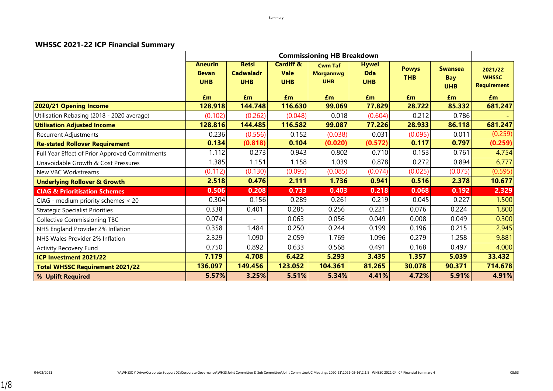#### **WHSSC 2021-22 ICP Financial Summary**

|                                                |                                              |                                                |                                                   | <b>Commissioning HB Breakdown</b>                |                                          |                            |                                            |                                               |
|------------------------------------------------|----------------------------------------------|------------------------------------------------|---------------------------------------------------|--------------------------------------------------|------------------------------------------|----------------------------|--------------------------------------------|-----------------------------------------------|
|                                                | <b>Aneurin</b><br><b>Bevan</b><br><b>UHB</b> | <b>Betsi</b><br><b>Cadwaladr</b><br><b>UHB</b> | <b>Cardiff &amp;</b><br><b>Vale</b><br><b>UHB</b> | <b>Cwm Taf</b><br><b>Morgannwg</b><br><b>UHB</b> | <b>Hywel</b><br><b>Dda</b><br><b>UHB</b> | <b>Powys</b><br><b>THB</b> | <b>Swansea</b><br><b>Bay</b><br><b>UHB</b> | 2021/22<br><b>WHSSC</b><br><b>Requirement</b> |
|                                                | £m                                           | Em                                             | Em                                                | Em                                               | £m                                       | Em                         | £m                                         | Em                                            |
| 2020/21 Opening Income                         | 128.918                                      | 144.748                                        | 116.630                                           | 99.069                                           | 77.829                                   | 28.722                     | 85.332                                     | 681.247                                       |
| Utilisation Rebasing (2018 - 2020 average)     | (0.102)                                      | (0.262)                                        | (0.048)                                           | 0.018                                            | (0.604)                                  | 0.212                      | 0.786                                      |                                               |
| <b>Utilisation Adjusted Income</b>             | 128.816                                      | 144.485                                        | 116.582                                           | 99.087                                           | 77.226                                   | 28.933                     | 86.118                                     | 681.247                                       |
| <b>Recurrent Adjustments</b>                   | 0.236                                        | (0.556)                                        | 0.152                                             | (0.038)                                          | 0.031                                    | (0.095)                    | 0.011                                      | (0.259)                                       |
| <b>Re-stated Rollover Requirement</b>          | 0.134                                        | (0.818)                                        | 0.104                                             | (0.020)                                          | (0.572)                                  | 0.117                      | 0.797                                      | (0.259)                                       |
| Full Year Effect of Prior Approved Commitments | 1.112                                        | 0.273                                          | 0.943                                             | 0.802                                            | 0.710                                    | 0.153                      | 0.761                                      | 4.754                                         |
| Unavoidable Growth & Cost Pressures            | 1.385                                        | 1.151                                          | 1.158                                             | 1.039                                            | 0.878                                    | 0.272                      | 0.894                                      | 6.777                                         |
| New VBC Workstreams                            | (0.112)                                      | (0.130)                                        | (0.095)                                           | (0.085)                                          | (0.074)                                  | (0.025)                    | (0.075)                                    | (0.595)                                       |
| <b>Underlying Rollover &amp; Growth</b>        | 2.518                                        | 0.476                                          | 2.111                                             | 1.736                                            | 0.941                                    | 0.516                      | 2.378                                      | 10.677                                        |
| <b>CIAG &amp; Prioritisation Schemes</b>       | 0.506                                        | 0.208                                          | 0.733                                             | 0.403                                            | 0.218                                    | 0.068                      | 0.192                                      | 2.329                                         |
| CIAG - medium priority schemes < 20            | 0.304                                        | 0.156                                          | 0.289                                             | 0.261                                            | 0.219                                    | 0.045                      | 0.227                                      | 1.500                                         |
| <b>Strategic Specialist Priorities</b>         | 0.338                                        | 0.401                                          | 0.285                                             | 0.256                                            | 0.221                                    | 0.076                      | 0.224                                      | 1.800                                         |
| <b>Collective Commissioning TBC</b>            | 0.074                                        | $\overline{\phantom{a}}$                       | 0.063                                             | 0.056                                            | 0.049                                    | 0.008                      | 0.049                                      | 0.300                                         |
| NHS England Provider 2% Inflation              | 0.358                                        | 1.484                                          | 0.250                                             | 0.244                                            | 0.199                                    | 0.196                      | 0.215                                      | 2.945                                         |
| NHS Wales Provider 2% Inflation                | 2.329                                        | 1.090                                          | 2.059                                             | 1.769                                            | 1.096                                    | 0.279                      | 1.258                                      | 9.881                                         |
| <b>Activity Recovery Fund</b>                  | 0.750                                        | 0.892                                          | 0.633                                             | 0.568                                            | 0.491                                    | 0.168                      | 0.497                                      | 4.000                                         |
| ICP Investment 2021/22                         | 7.179                                        | 4.708                                          | 6.422                                             | 5.293                                            | 3.435                                    | 1.357                      | 5.039                                      | 33.432                                        |
| <b>Total WHSSC Requirement 2021/22</b>         | 136.097                                      | 149.456                                        | 123.052                                           | 104.361                                          | 81.265                                   | 30.078                     | 90.371                                     | 714.678                                       |
| % Uplift Required                              | 5.57%                                        | 3.25%                                          | 5.51%                                             | 5.34%                                            | 4.41%                                    | 4.72%                      | 5.91%                                      | 4.91%                                         |

1/8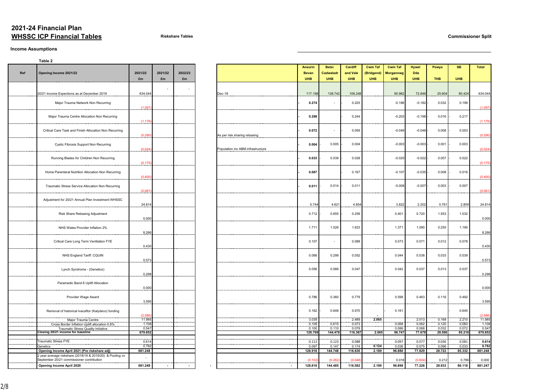## **2021-24 Financial Plan WHSSC ICP Financial Tables Riskshare Tables Commissioner Split**

#### **Income Assumptions**

|     | Table 2                                                                                                |                          |         |                     |                                   |                |                          |                |                |                  |                |                |                |                |
|-----|--------------------------------------------------------------------------------------------------------|--------------------------|---------|---------------------|-----------------------------------|----------------|--------------------------|----------------|----------------|------------------|----------------|----------------|----------------|----------------|
|     |                                                                                                        |                          |         |                     |                                   | <b>Aneurin</b> | <b>Betsi</b>             | <b>Cardiff</b> | <b>Cwm Taf</b> | <b>Cwm Taf</b>   | <b>Hywel</b>   | <b>Powys</b>   | <b>SB</b>      | <b>Total</b>   |
| Ref | Opening Income 2021/22                                                                                 | 2021/22                  | 2021/22 | 2022/23             |                                   | <b>Bevan</b>   | Cadwaladr                | and Vale       | (Bridgend)     | <b>Morgannwg</b> | <b>Dda</b>     |                |                |                |
|     |                                                                                                        | £m                       | £m      | £m                  |                                   | <b>UHB</b>     | <b>UHB</b>               | <b>UHB</b>     | <b>UHB</b>     | <b>UHB</b>       | <b>UHB</b>     | <b>THB</b>     | <b>UHB</b>     |                |
|     |                                                                                                        |                          |         |                     |                                   |                |                          |                |                |                  |                |                |                |                |
|     |                                                                                                        |                          |         |                     |                                   |                |                          |                |                |                  |                |                |                |                |
|     | 20/21 Income Expections as at December 2019                                                            | 634.044                  |         |                     | Dec-18                            | 117.198        | 138.742                  | 108.248        |                | 90.982           | 72.846         | 25.604         | 80.424         | 634.044        |
|     |                                                                                                        |                          |         |                     |                                   |                |                          |                |                |                  |                |                |                |                |
|     | Major Trauma Network Non Recurring                                                                     |                          |         |                     |                                   | 0.274          | $\overline{\phantom{0}}$ | 0.225          |                | $-0.186$         | $-0.182$       | 0.032          | 0.199          |                |
|     |                                                                                                        | (1.097)                  |         |                     |                                   |                |                          |                |                |                  |                |                |                | (1.097)        |
|     |                                                                                                        |                          |         |                     |                                   | 0.298          |                          | 0.244          |                | $-0.203$         |                |                | 0.217          |                |
|     | Major Trauma Centre Allocation Non Recurring                                                           | (1.176)                  |         |                     |                                   |                |                          |                |                |                  | $-0.198$       | 0.016          |                | (1.176)        |
|     |                                                                                                        |                          |         |                     |                                   |                |                          |                |                |                  |                |                |                |                |
|     | Critical Care Task and Finish Allocation Non Recurring                                                 |                          |         |                     |                                   | 0.072          | $\sim$                   | 0.059          |                | $-0.049$         | $-0.048$       | 0.008          | 0.053          |                |
|     |                                                                                                        | (0.290)                  |         |                     | As per risk sharing rebasing      |                |                          |                |                |                  |                |                |                | (0.290)        |
|     |                                                                                                        |                          |         |                     |                                   |                |                          |                |                |                  |                |                |                |                |
|     | <b>Cystic Fibrosis Support Non Recurring</b>                                                           |                          |         |                     |                                   | 0.004          | 0.005                    | 0.004          |                | $-0.003$         | $-0.003$       | 0.001          | 0.003          |                |
|     |                                                                                                        | (0.024)                  |         |                     | Population inc ABM infrastructure |                |                          |                |                |                  |                |                |                | (0.024)        |
|     | Running Blades for Children Non Recurring                                                              |                          |         |                     |                                   | 0.033          | 0.039                    | 0.028          |                | $-0.025$         | $-0.022$       | 0.007          | 0.022          |                |
|     |                                                                                                        | (0.175)                  |         |                     |                                   |                |                          |                |                |                  |                |                |                | (0.175)        |
|     |                                                                                                        |                          |         |                     |                                   |                |                          |                |                |                  |                |                |                |                |
|     | Home Parenteral Nutrition Allocation Non Recurring                                                     |                          |         |                     |                                   | 0.067          |                          | 0.167          |                | $-0.107$         | $-0.035$       | 0.008          | 0.016          |                |
|     |                                                                                                        | (0.400)                  |         |                     |                                   |                |                          |                |                |                  |                |                |                | (0.400)        |
|     |                                                                                                        |                          |         |                     |                                   |                |                          |                |                |                  |                |                |                |                |
|     | Traumatic Stress Service Allocation Non Recurring                                                      |                          |         |                     |                                   | 0.011          | 0.014                    | 0.011          |                | $-0.008$         | $-0.007$       | 0.003          | 0.007          |                |
|     |                                                                                                        | (0.061)                  |         |                     |                                   |                |                          |                |                |                  |                |                |                | (0.061)        |
|     | Adjustment for 20/21 Annual Plan Investment WHSSC                                                      |                          |         |                     |                                   |                |                          |                |                |                  |                |                |                |                |
|     |                                                                                                        | 24.814                   |         |                     |                                   | 5.744          | 4.621                    | 4.854          |                | 3.822            | 2.202          | 0.761          | 2.809          | 24.814         |
|     |                                                                                                        |                          |         |                     |                                   |                |                          |                |                |                  |                |                |                |                |
|     | Risk Share Rebasing Adjustment                                                                         |                          |         |                     |                                   | 0.712          | 0.655                    | 0.259          |                | 0.401            | 0.720          | 1.553          | 1.032          |                |
|     |                                                                                                        | 0.000                    |         |                     |                                   |                |                          |                |                |                  |                |                |                | 0.000          |
|     |                                                                                                        |                          |         |                     |                                   | 1.711          | 1.026                    | 1.623          |                | 1.371            | 1.090          | 0.255          | 1.190          |                |
|     | NHS Wales Provider Inflation 2%                                                                        | 8.266                    |         |                     |                                   |                |                          |                |                |                  |                |                |                | 8.266          |
|     |                                                                                                        |                          |         |                     |                                   |                |                          |                |                |                  |                |                |                |                |
|     | Critical Care Long Term Ventilation FYE                                                                |                          |         |                     |                                   | 0.107          | $\sim$                   | 0.088          |                | 0.073            | 0.071          | 0.012          | 0.078          |                |
|     |                                                                                                        | 0.430                    |         | . _ _ _ _ _ _ _ _ _ |                                   |                |                          |                |                |                  |                |                |                | 0.430          |
|     |                                                                                                        |                          |         |                     |                                   |                |                          |                |                |                  |                |                |                |                |
|     | NHS England Tariff: CQUIN                                                                              |                          |         |                     |                                   | 0.068          | 0.299                    | 0.052          |                | 0.044            | 0.038          | 0.033          | 0.039          |                |
|     |                                                                                                        | 0.573                    |         |                     |                                   |                |                          |                |                |                  |                |                |                | 0.573          |
|     | Lynch Syndrome - (Genetics)                                                                            |                          |         |                     |                                   | 0.056          | 0.066                    | 0.047          |                | 0.042            | 0.037          | 0.013          | 0.037          |                |
|     |                                                                                                        | 0.298                    |         |                     |                                   |                |                          |                |                |                  |                |                |                | 0.298          |
|     |                                                                                                        |                          |         |                     |                                   |                |                          |                |                |                  |                |                |                |                |
|     | Paramedic Band 6 Uplift Allocation                                                                     |                          |         |                     |                                   |                |                          |                |                |                  |                |                |                |                |
|     |                                                                                                        | 0.000                    |         |                     |                                   |                |                          |                |                |                  |                |                |                | 0.000          |
|     |                                                                                                        |                          |         |                     |                                   |                |                          |                |                |                  |                |                |                |                |
|     | Provider Wage Award                                                                                    | 3.595                    |         |                     |                                   | 0.786          | 0.360                    | 0.779          |                | 0.599            | 0.463          | 0.116          | 0.492          | 3.595          |
|     |                                                                                                        |                          |         |                     |                                   |                |                          |                |                |                  |                |                |                |                |
|     | Removal of historical Ivacaftor (Kalydeco) funding                                                     |                          |         |                     |                                   | 0.162          | 0.648                    | 0.970          |                | 0.161            |                |                | 0.645          |                |
|     |                                                                                                        | (2.586)                  |         |                     |                                   |                |                          |                |                |                  |                |                |                | (2.586)        |
|     | Major Trauma Centre                                                                                    | 11.985                   |         |                     |                                   | 3.039          |                          | 2.489          | 2.065          |                  | 2.013          | 0.168          | 2.210          | 11.985         |
|     | Cross Border Inflation Uplift allocation 0.8%                                                          | 1.108<br>0.547           |         |                     |                                   | 0.109<br>0.100 | 0.615<br>0.110           | 0.073<br>0.079 |                | 0.068<br>0.086   | 0.062<br>0.068 | 0.120<br>0.032 | 0.060<br>0.072 | 1.108<br>0.547 |
|     | <b>Traumatic Stress Quality Initiative</b><br>Closing 20/21 income for baseline                        | 679.852                  |         |                     |                                   | 128.709        | 144.478                  | 116.367        | 2.065          | 96.747           | 77.678         | 28.590         | 85.218         | 679.852        |
|     |                                                                                                        |                          |         |                     |                                   |                |                          |                |                |                  |                |                |                |                |
|     | Traumatic Stress FYE                                                                                   | 0.614                    |         |                     |                                   | 0.112          | 0.123                    | 0.088          |                | 0.097            | 0.077          | 0.036          | 0.081          | 0.614          |
|     | Genetics                                                                                               | 0.782                    |         |                     |                                   | 0.097          | 0.147                    | 0.174          | 0.124          | 0.036            | 0.075          | 0.096          | 0.033          | 0.782          |
|     | Opening Income April 2021 (Pre riskshare adj)                                                          | 681.248                  |         |                     |                                   | 128.918        | 144.748                  | 116.630        | 2.189          | 96.880           | 77.829         | 28.722         | 85.332         | 681.248        |
|     | 2 year average riskshare (2018/19 & 2019/20) & Pooling vs<br>September 20/21 commissioner contribution | $\overline{\phantom{a}}$ |         |                     |                                   |                | (0.262)                  |                |                | 0.018            |                |                | 0.786          |                |
|     |                                                                                                        |                          |         |                     |                                   | (0.102)        |                          | (0.048)        |                |                  | (0.604)        | 0.212          |                | 0.000          |
|     | <b>Opening Income April 2020</b>                                                                       | 681.248                  | $\sim$  |                     |                                   | 128.816        | 144.485                  | 116.582        | 2.189          | 96.898           | 77.226         | 28.933         | 86.118         | 681.247        |

|     | Table 2                                                                                                |                 |               |               |                                   |
|-----|--------------------------------------------------------------------------------------------------------|-----------------|---------------|---------------|-----------------------------------|
| Ref | Opening Income 2021/22                                                                                 | 2021/22<br>£m   | 2021/22<br>£m | 2022/23<br>£m |                                   |
|     | 20/21 Income Expections as at December 2019                                                            | 634.044         |               |               | Dec-18                            |
|     | Major Trauma Network Non Recurring                                                                     | (1.097)         |               |               |                                   |
|     | Major Trauma Centre Allocation Non Recurring                                                           | (1.176)         |               |               |                                   |
|     | Critical Care Task and Finish Allocation Non Recurring                                                 | (0.290)         |               |               | As per risk sharing rebasing      |
|     | Cystic Fibrosis Support Non Recurring                                                                  | (0.024)         |               |               | Population inc ABM infrastructure |
|     | Running Blades for Children Non Recurring                                                              | (0.175)         |               |               |                                   |
|     | Home Parenteral Nutrition Allocation Non Recurring                                                     | (0.400)         |               |               |                                   |
|     | Traumatic Stress Service Allocation Non Recurring                                                      | (0.061)         |               |               |                                   |
|     | Adjustment for 20/21 Annual Plan Investment WHSSC                                                      | 24.814          |               |               |                                   |
|     | Risk Share Rebasing Adjustment                                                                         | 0.000           |               |               |                                   |
|     | NHS Wales Provider Inflation 2%                                                                        | 8.266           |               |               |                                   |
|     | Critical Care Long Term Ventilation FYE                                                                | 0.430           |               |               |                                   |
|     | NHS England Tariff: CQUIN                                                                              | 0.573           |               |               |                                   |
|     | Lynch Syndrome - (Genetics)                                                                            | 0.298           |               |               |                                   |
|     | Paramedic Band 6 Uplift Allocation                                                                     | 0.000           |               |               |                                   |
|     | Provider Wage Award                                                                                    | 3.595           |               |               |                                   |
|     | Removal of historical Ivacaftor (Kalydeco) funding                                                     | (2.586)         |               |               |                                   |
|     | Major Trauma Centre<br>Cross Border Inflation Uplift allocation 0.8%                                   | 11.985<br>1.108 |               |               |                                   |
|     | Traumatic Stress Quality Initiative                                                                    | 0.547           |               |               |                                   |
|     | Closing 20/21 income for baseline                                                                      | 679.852         |               |               |                                   |
|     | <b>Traumatic Stress FYE</b>                                                                            | 0.614           |               |               |                                   |
|     | Genetics                                                                                               | 0.782           |               |               |                                   |
|     | Opening Income April 2021 (Pre riskshare adj)                                                          | 681.248         |               |               |                                   |
|     | 2 year average riskshare (2018/19 & 2019/20) & Pooling vs<br>September 20/21 commissioner contribution |                 |               |               |                                   |
|     | Opening Income April 2020                                                                              | 681.248         |               |               |                                   |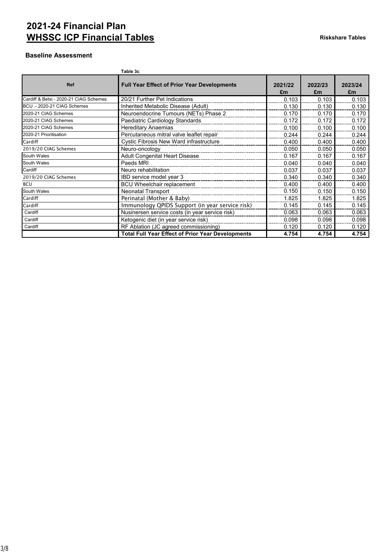# **2021-24 Financial Plan WHSSC ICP Financial Tables Riskshare Tables**

## **Baseline Assessment**

|                                        | Table 3c                                                                |               |               |               |
|----------------------------------------|-------------------------------------------------------------------------|---------------|---------------|---------------|
| <b>Ref</b>                             | <b>Full Year Effect of Prior Year Developments</b>                      | 2021/22<br>£m | 2022/23<br>£m | 2023/24<br>£m |
| Cardiff & Betsi - 2020-21 CIAG Schemes | 20/21 Further Pet Indications                                           | 0.103         | 0.103         | 0.103         |
| BCU .- 2020-21 CIAG Schemes            | Inherited Metabolic Disease (Adult)                                     | 0.130         | 0.130         | 0.130         |
| 2020-21 CIAG Schemes                   | Neuroendocrine Tumours (NETs) Phase 2                                   | 0.170         | 0.170         | 0.170         |
| 2020-21 CIAG Schemes                   | Paediatric Cardiology Standards                                         | 0.172         | 0.172         | 0.172         |
| 2020-21 CIAG Schemes                   | <b>Hereditary Anaemias</b>                                              | 0.100         | 0.100         | 0.100         |
| 2020-21 Prioritisation                 | Percutaneous mitral valve leaflet repair                                | 0.244         | 0.244         | 0.244         |
| Cardiff                                | Cystic Fibrosis New Ward infrastructure                                 | 0.400         | 0.400         | 0.400         |
| 2019/20 CIAG Schemes                   | Neuro-oncology                                                          | 0.050         | 0.050         | 0.050         |
| South Wales                            | <b>Adult Congenital Heart Disease</b><br>------------------------------ | 0.167         | 0.167         | 0.167         |
| South Wales                            | Paeds MRI                                                               | 0.040         | 0.040         | 0.040         |
| Cardiff                                | Neuro rehabilitation<br>-------------------------------------           | 0.037         | 0.037         | 0.037         |
| 2019/20 CIAG Schemes                   | IBD service model year 3<br>-------------------------------             | 0.340         | 0.340         | 0.340         |
| <b>BCU</b>                             | <b>BCU Wheelchair replacement</b>                                       | 0.400         | 0.400         | 0.400         |
| South Wales                            | <b>Neonatal Transport</b><br>-------------------------                  | 0.150         | 0.150         | 0.150         |
| Cardiff                                | Perinatal (Mother & Baby)                                               | 1.825         | 1.825         | 1.825         |
| Cardiff                                | Immunology QPIDS Support (in year service risk)                         | 0.145         | 0.145         | 0.145         |
| Cardiff                                | Nusinersen service costs (in year service risk)                         | 0.063         | 0.063         | 0.063         |
| Cardiff                                | Ketogenic diet (in year service risk)                                   | 0.098         | 0.098         | 0.098         |
| Cardiff                                | RF Ablation (JC agreed commissioning)                                   | 0.120         | 0.120         | 0.120         |
|                                        | <b>Total Full Year Effect of Prior Year Developments</b>                | 4.754         | 4.754         | 4.754         |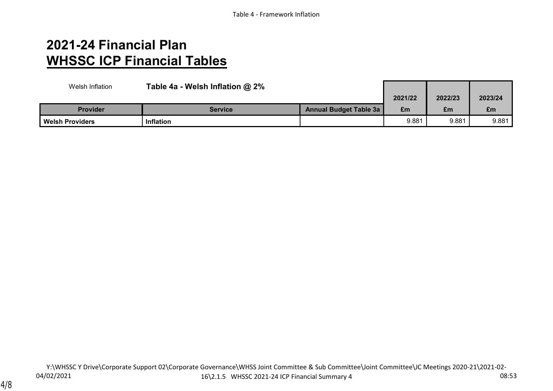# **2021-24 Financial Plan WHSSC ICP Financial Tables**

| Welsh Inflation        | Table 4a - Welsh Inflation $@2\%$ |                               |         |         |         |
|------------------------|-----------------------------------|-------------------------------|---------|---------|---------|
|                        |                                   |                               | 2021/22 | 2022/23 | 2023/24 |
| <b>Provider</b>        | <b>Service</b>                    | <b>Annual Budget Table 3a</b> | £m      | £m      | £m      |
| <b>Welsh Providers</b> | <b>Inflation</b>                  |                               | 9.881   | 9.881   | 9.881   |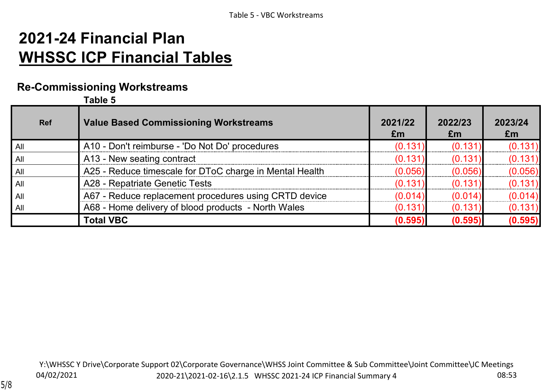# **2021-24 Financial Plan WHSSC ICP Financial Tables**

## **Re-Commissioning Workstreams**

**Table 5**

| <b>Ref</b> | <b>Value Based Commissioning Workstreams</b>            | 2021/22<br>£m | 2022/23<br>£m | 2023/24<br>Em |
|------------|---------------------------------------------------------|---------------|---------------|---------------|
| All        | A10 - Don't reimburse - 'Do Not Do' procedures          | (0.131)       | (0.131)       | (0.131)       |
| All        | A13 - New seating contract                              | (0.131)       | (0.131)       | (0.131)       |
| All        | A25 - Reduce timescale for DToC charge in Mental Health | (0.056)       | (0.056)       | (0.056)       |
| All        | A28 - Repatriate Genetic Tests                          | (0.131)       | (0.131)       | (0.131)       |
| All        | A67 - Reduce replacement procedures using CRTD device   | (0.014)       | (0.014)       | (0.014)       |
| All        | A68 - Home delivery of blood products - North Wales     | (0.131)       | (0.131)       | (0.131)       |
|            | <b>Total VBC</b>                                        | (0.595)       | (0.595)       | (0.595)       |

04/02/2021 Y:\WHSSC Y Drive\Corporate Support 02\Corporate Governance\WHSS Joint Committee & Sub Committee\Joint Committee\JC Meetings 2020-21\2021-02-16\2.1.5 WHSSC 2021-24 ICP Financial Summary 4 08:53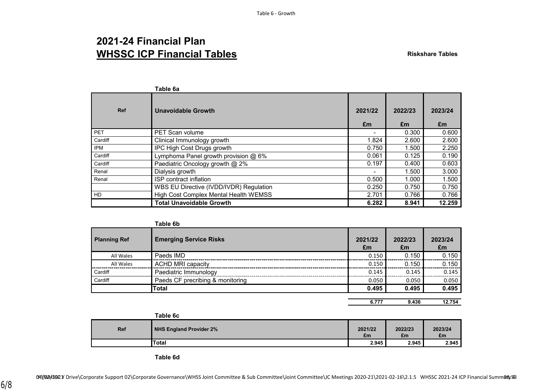## **2021-24 Financial Plan WHSSC ICP Financial Tables Riskshare Tables Riskshare Tables**

|            | Table 6a                                |               |               |               |
|------------|-----------------------------------------|---------------|---------------|---------------|
| <b>Ref</b> | <b>Unavoidable Growth</b>               | 2021/22<br>£m | 2022/23<br>£m | 2023/24<br>£m |
| <b>PET</b> | <b>PET Scan volume</b>                  |               | 0.300         | 0.600         |
| Cardiff    | Clinical Immunology growth              | 1.824         | 2.600         | 2.600         |
| <b>IPM</b> | IPC High Cost Drugs growth              | 0.750         | 1.500         | 2.250         |
| Cardiff    | Lymphoma Panel growth provision @ 6%    | 0.061         | 0.125         | 0.190         |
| Cardiff    | Paediatric Oncology growth @ 2%         | 0.197         | 0.400         | 0.603         |
| Renal      | Dialysis growth                         |               | 1.500         | 3.000         |
| Renal      | ISP contract inflation                  | 0.500         | 1.000         | 1.500         |
|            | WBS EU Directive (IVDD/IVDR) Regulation | 0.250         | 0.750         | 0.750         |
| <b>HD</b>  | High Cost Complex Mental Health WEMSS   | 2.701         | 0.766         | 0.766         |
|            | <b>Total Unavoidable Growth</b>         | 6.282         | 8.941         | 12.259        |

|                     | Table 6b                         |               |               |               |
|---------------------|----------------------------------|---------------|---------------|---------------|
| <b>Planning Ref</b> | <b>Emerging Service Risks</b>    | 2021/22<br>£m | 2022/23<br>£m | 2023/24<br>£m |
| All Wales           | Paeds IMD                        | 0.150         | 0.150         | 0.150         |
| All Wales           | <b>ACHD MRI capacity</b>         | 0.150         | 0.150         | 0.150         |
| Cardiff             | Paediatric Immunology            | 0.145         | 0.145         | 0.145         |
| Cardiff             | Paeds CF precribing & monitoring | 0.050         | 0.050         | 0.050         |
|                     | <b>Total</b>                     | 0.495         | 0.495         | 0.495         |
|                     |                                  |               |               |               |

| 6.777 | 9.436 | 12.754 |
|-------|-------|--------|

|     | Table 6c                       |               |               |               |
|-----|--------------------------------|---------------|---------------|---------------|
| Ref | <b>NHS England Provider 2%</b> | 2021/22<br>£m | 2022/23<br>£m | 2023/24<br>£m |
|     | <b>Total</b>                   | 2.945         | 2.945         | 2.945         |

**Table 6d**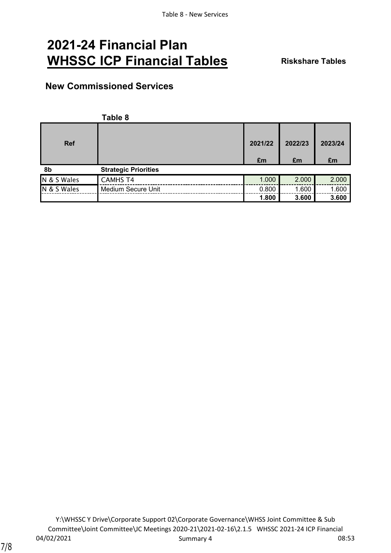# **2021-24 Financial Plan WHSSC ICP Financial Tables Riskshare Tables**

### **New Commissioned Services**

|             | Table 8                     |         |         |         |
|-------------|-----------------------------|---------|---------|---------|
| <b>Ref</b>  |                             | 2021/22 | 2022/23 | 2023/24 |
|             |                             | £m      | £m      | £m      |
| 8b          | <b>Strategic Priorities</b> |         |         |         |
| N & S Wales | <b>CAMHS T4</b>             | 1.000   | 2.000   | 2.000   |
| N & S Wales | Medium Secure Unit          | 0.800   | 1.600   | 1.600   |
|             |                             | 1.800   | 3.600   | 3.600   |